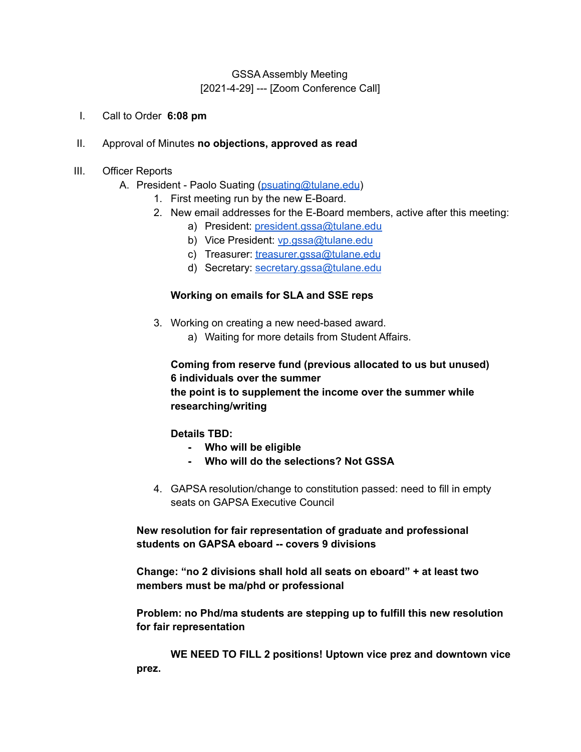# GSSA Assembly Meeting [2021-4-29] --- [Zoom Conference Call]

I. Call to Order **6:08 pm**

#### II. Approval of Minutes **no objections, approved as read**

- III. Officer Reports
	- A. President Paolo Suating [\(psuating@tulane.edu](mailto:psuating@tulane.edu))
		- 1. First meeting run by the new E-Board.
		- 2. New email addresses for the E-Board members, active after this meeting:
			- a) President: [president.gssa@tulane.edu](mailto:president.gssa@tulane.edu)
			- b) Vice President: [vp.gssa@tulane.edu](mailto:vp.gssa@tulane.edu)
			- c) Treasurer: [treasurer.gssa@tulane.edu](mailto:treasurer.gssa@tulane.edu)
			- d) Secretary: [secretary.gssa@tulane.edu](mailto:secretary.gssa@tulane.edu)

#### **Working on emails for SLA and SSE reps**

- 3. Working on creating a new need-based award.
	- a) Waiting for more details from Student Affairs.

# **Coming from reserve fund (previous allocated to us but unused) 6 individuals over the summer the point is to supplement the income over the summer while researching/writing**

**Details TBD:**

- **- Who will be eligible**
- **- Who will do the selections? Not GSSA**
- 4. GAPSA resolution/change to constitution passed: need to fill in empty seats on GAPSA Executive Council

**New resolution for fair representation of graduate and professional students on GAPSA eboard -- covers 9 divisions**

**Change: "no 2 divisions shall hold all seats on eboard" + at least two members must be ma/phd or professional**

**Problem: no Phd/ma students are stepping up to fulfill this new resolution for fair representation**

**WE NEED TO FILL 2 positions! Uptown vice prez and downtown vice prez.**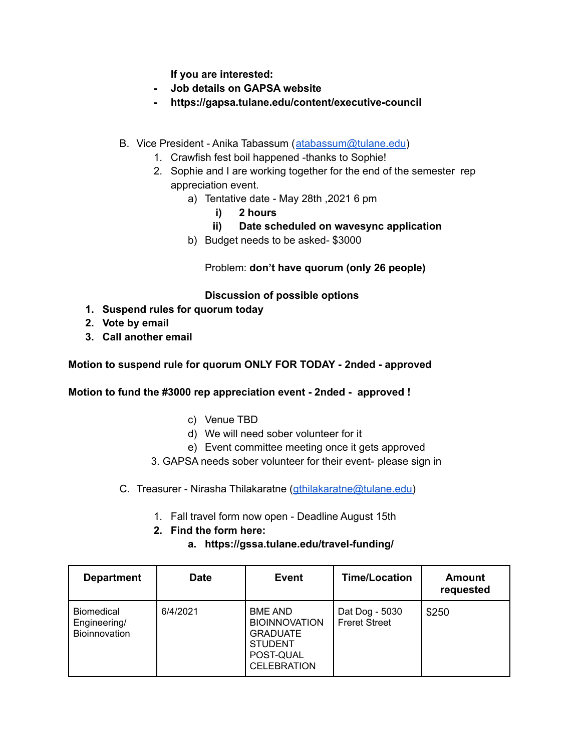**If you are interested:**

- **- Job details on GAPSA website**
- **- https://gapsa.tulane.edu/content/executive-council**
- B. Vice President Anika Tabassum ([atabassum@tulane.edu](mailto:atabassum@tulane.edu))
	- 1. Crawfish fest boil happened -thanks to Sophie!
	- 2. Sophie and I are working together for the end of the semester rep appreciation event.
		- a) Tentative date May 28th ,2021 6 pm
			- **i) 2 hours**
			- **ii) Date scheduled on wavesync application**
		- b) Budget needs to be asked- \$3000

Problem: **don't have quorum (only 26 people)**

### **Discussion of possible options**

- **1. Suspend rules for quorum today**
- **2. Vote by email**
- **3. Call another email**

**Motion to suspend rule for quorum ONLY FOR TODAY - 2nded - approved**

**Motion to fund the #3000 rep appreciation event - 2nded - approved !**

- c) Venue TBD
- d) We will need sober volunteer for it
- e) Event committee meeting once it gets approved
- 3. GAPSA needs sober volunteer for their event- please sign in
- C. Treasurer Nirasha Thilakaratne (*gthilakaratne@tulane.edu*)
	- 1. Fall travel form now open Deadline August 15th
	- **2. Find the form here:**
		- **a. https://gssa.tulane.edu/travel-funding/**

| <b>Department</b>                                  | <b>Date</b> | <b>Event</b>                                                                                                   | <b>Time/Location</b>                   | Amount<br>requested |
|----------------------------------------------------|-------------|----------------------------------------------------------------------------------------------------------------|----------------------------------------|---------------------|
| <b>Biomedical</b><br>Engineering/<br>Bioinnovation | 6/4/2021    | <b>BME AND</b><br><b>BIOINNOVATION</b><br><b>GRADUATE</b><br><b>STUDENT</b><br>POST-QUAL<br><b>CELEBRATION</b> | Dat Dog - 5030<br><b>Freret Street</b> | \$250               |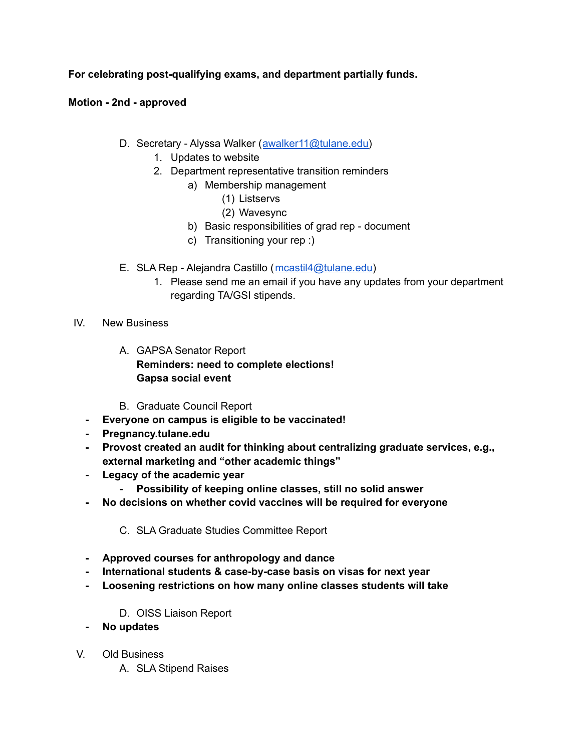# **For celebrating post-qualifying exams, and department partially funds.**

**Motion - 2nd - approved**

- D. Secretary Alyssa Walker ([awalker11@tulane.edu\)](mailto:awalker11@tulane.edu)
	- 1. Updates to website
	- 2. Department representative transition reminders
		- a) Membership management
			- (1) Listservs
			- (2) Wavesync
		- b) Basic responsibilities of grad rep document
		- c) Transitioning your rep :)
- E. SLA Rep Alejandra Castillo ([mcastil4@tulane.edu\)](mailto:mcastil4@tulane.edu)
	- 1. Please send me an email if you have any updates from your department regarding TA/GSI stipends.
- IV. New Business
	- A. GAPSA Senator Report **Reminders: need to complete elections! Gapsa social event**
	- B. Graduate Council Report
	- **- Everyone on campus is eligible to be vaccinated!**
	- **- Pregnancy.tulane.edu**
	- **- Provost created an audit for thinking about centralizing graduate services, e.g., external marketing and "other academic things"**
	- **- Legacy of the academic year**
		- **- Possibility of keeping online classes, still no solid answer**
	- **- No decisions on whether covid vaccines will be required for everyone**
		- C. SLA Graduate Studies Committee Report
	- **- Approved courses for anthropology and dance**
	- **- International students & case-by-case basis on visas for next year**
	- **- Loosening restrictions on how many online classes students will take**
		- D. OISS Liaison Report
	- **- No updates**
- V. Old Business
	- A. SLA Stipend Raises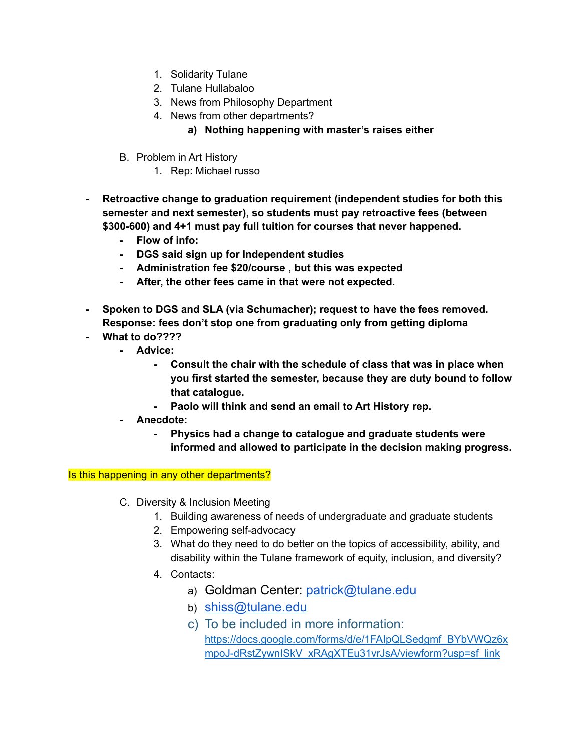- 1. Solidarity Tulane
- 2. Tulane Hullabaloo
- 3. News from Philosophy Department
- 4. News from other departments?
	- **a) Nothing happening with master's raises either**
- B. Problem in Art History
	- 1. Rep: Michael russo
- **- Retroactive change to graduation requirement (independent studies for both this semester and next semester), so students must pay retroactive fees (between \$300-600) and 4+1 must pay full tuition for courses that never happened.**
	- **- Flow of info:**
	- **- DGS said sign up for Independent studies**
	- **- Administration fee \$20/course , but this was expected**
	- **- After, the other fees came in that were not expected.**
- **- Spoken to DGS and SLA (via Schumacher); request to have the fees removed. Response: fees don't stop one from graduating only from getting diploma**
- **- What to do????**
	- **- Advice:**
		- **- Consult the chair with the schedule of class that was in place when you first started the semester, because they are duty bound to follow that catalogue.**
		- **- Paolo will think and send an email to Art History rep.**
	- **- Anecdote:**
		- **- Physics had a change to catalogue and graduate students were informed and allowed to participate in the decision making progress.**

Is this happening in any other departments?

- C. Diversity & Inclusion Meeting
	- 1. Building awareness of needs of undergraduate and graduate students
	- 2. Empowering self-advocacy
	- 3. What do they need to do better on the topics of accessibility, ability, and disability within the Tulane framework of equity, inclusion, and diversity?
	- 4. Contacts:
		- a) Goldman Center: [patrick@tulane.edu](mailto:patrick@tulane.edu)
		- b) [shiss@tulane.edu](mailto:shiss@tulane.edu)
		- c) To be included in more information: [https://docs.google.com/forms/d/e/1FAIpQLSedgmf\\_BYbVWQz6x](https://nam11.safelinks.protection.outlook.com/?url=https%3A%2F%2Fdocs.google.com%2Fforms%2Fd%2Fe%2F1FAIpQLSedgmf_BYbVWQz6xmpoJ-dRstZywnISkV_xRAgXTEu31vrJsA%2Fviewform%3Fusp%3Dsf_link&data=04%7C01%7Cawalker11%40tulane.edu%7C72fcf9b2fca5467df78708d90a809a94%7C9de9818325d94b139fc34de5489c1f3b%7C1%7C0%7C637552369752140168%7CUnknown%7CTWFpbGZsb3d8eyJWIjoiMC4wLjAwMDAiLCJQIjoiV2luMzIiLCJBTiI6Ik1haWwiLCJXVCI6Mn0%3D%7C1000&sdata=u0%2BR5w4M8QOxJYadbSn0HOObvik4wyKFkelwewzbnXI%3D&reserved=0) [mpoJ-dRstZywnISkV\\_xRAgXTEu31vrJsA/viewform?usp=sf\\_link](https://nam11.safelinks.protection.outlook.com/?url=https%3A%2F%2Fdocs.google.com%2Fforms%2Fd%2Fe%2F1FAIpQLSedgmf_BYbVWQz6xmpoJ-dRstZywnISkV_xRAgXTEu31vrJsA%2Fviewform%3Fusp%3Dsf_link&data=04%7C01%7Cawalker11%40tulane.edu%7C72fcf9b2fca5467df78708d90a809a94%7C9de9818325d94b139fc34de5489c1f3b%7C1%7C0%7C637552369752140168%7CUnknown%7CTWFpbGZsb3d8eyJWIjoiMC4wLjAwMDAiLCJQIjoiV2luMzIiLCJBTiI6Ik1haWwiLCJXVCI6Mn0%3D%7C1000&sdata=u0%2BR5w4M8QOxJYadbSn0HOObvik4wyKFkelwewzbnXI%3D&reserved=0)